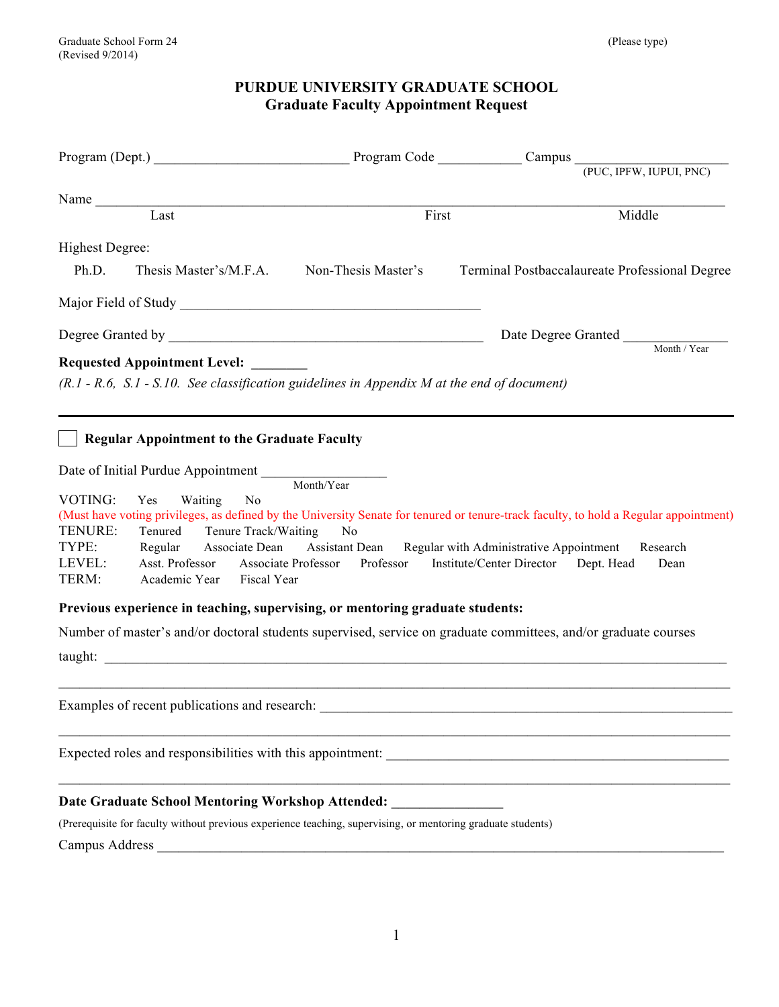# **PURDUE UNIVERSITY GRADUATE SCHOOL Graduate Faculty Appointment Request**

|                    |                                                    |                                                                                                              | Program (Dept.) Program Code Campus Campus (PUC, IPFW, IUPUI, PNC)                                                                    |        |
|--------------------|----------------------------------------------------|--------------------------------------------------------------------------------------------------------------|---------------------------------------------------------------------------------------------------------------------------------------|--------|
|                    |                                                    |                                                                                                              |                                                                                                                                       |        |
|                    | Name                                               |                                                                                                              |                                                                                                                                       |        |
| Last               |                                                    | First                                                                                                        |                                                                                                                                       | Middle |
| Highest Degree:    |                                                    |                                                                                                              |                                                                                                                                       |        |
| Ph.D.              | Thesis Master's/M.F.A.                             | Non-Thesis Master's                                                                                          | Terminal Postbaccalaureate Professional Degree                                                                                        |        |
|                    |                                                    |                                                                                                              |                                                                                                                                       |        |
|                    |                                                    |                                                                                                              | Date Degree Granted Month / Year                                                                                                      |        |
|                    | <b>Requested Appointment Level:</b>                |                                                                                                              |                                                                                                                                       |        |
|                    |                                                    | $(R.1 - R.6, S.1 - S.10$ . See classification guidelines in Appendix M at the end of document)               |                                                                                                                                       |        |
|                    |                                                    |                                                                                                              |                                                                                                                                       |        |
|                    |                                                    |                                                                                                              |                                                                                                                                       |        |
|                    | <b>Regular Appointment to the Graduate Faculty</b> |                                                                                                              |                                                                                                                                       |        |
|                    | Date of Initial Purdue Appointment Month/Year      |                                                                                                              |                                                                                                                                       |        |
| VOTING:            |                                                    |                                                                                                              |                                                                                                                                       |        |
| Yes                | Waiting<br>N <sub>0</sub>                          |                                                                                                              | (Must have voting privileges, as defined by the University Senate for tenured or tenure-track faculty, to hold a Regular appointment) |        |
| TENURE:<br>Tenured | Tenure Track/Waiting                               | N <sub>0</sub>                                                                                               |                                                                                                                                       |        |
| TYPE:<br>Regular   |                                                    |                                                                                                              | Associate Dean Assistant Dean Regular with Administrative Appointment Research                                                        |        |
| LEVEL:<br>TERM:    | Asst. Professor<br>Academic Year Fiscal Year       |                                                                                                              | Associate Professor Professor Institute/Center Director Dept. Head                                                                    | Dean   |
|                    |                                                    |                                                                                                              |                                                                                                                                       |        |
|                    |                                                    | Previous experience in teaching, supervising, or mentoring graduate students:                                |                                                                                                                                       |        |
|                    |                                                    |                                                                                                              | Number of master's and/or doctoral students supervised, service on graduate committees, and/or graduate courses                       |        |
|                    |                                                    |                                                                                                              |                                                                                                                                       |        |
|                    |                                                    |                                                                                                              |                                                                                                                                       |        |
|                    | Examples of recent publications and research:      |                                                                                                              |                                                                                                                                       |        |
|                    |                                                    |                                                                                                              |                                                                                                                                       |        |
|                    |                                                    |                                                                                                              |                                                                                                                                       |        |
|                    |                                                    |                                                                                                              |                                                                                                                                       |        |
|                    |                                                    | Date Graduate School Mentoring Workshop Attended: ______________________________                             |                                                                                                                                       |        |
|                    |                                                    | (Prerequisite for faculty without previous experience teaching, supervising, or mentoring graduate students) |                                                                                                                                       |        |
|                    |                                                    |                                                                                                              |                                                                                                                                       |        |
|                    |                                                    |                                                                                                              |                                                                                                                                       |        |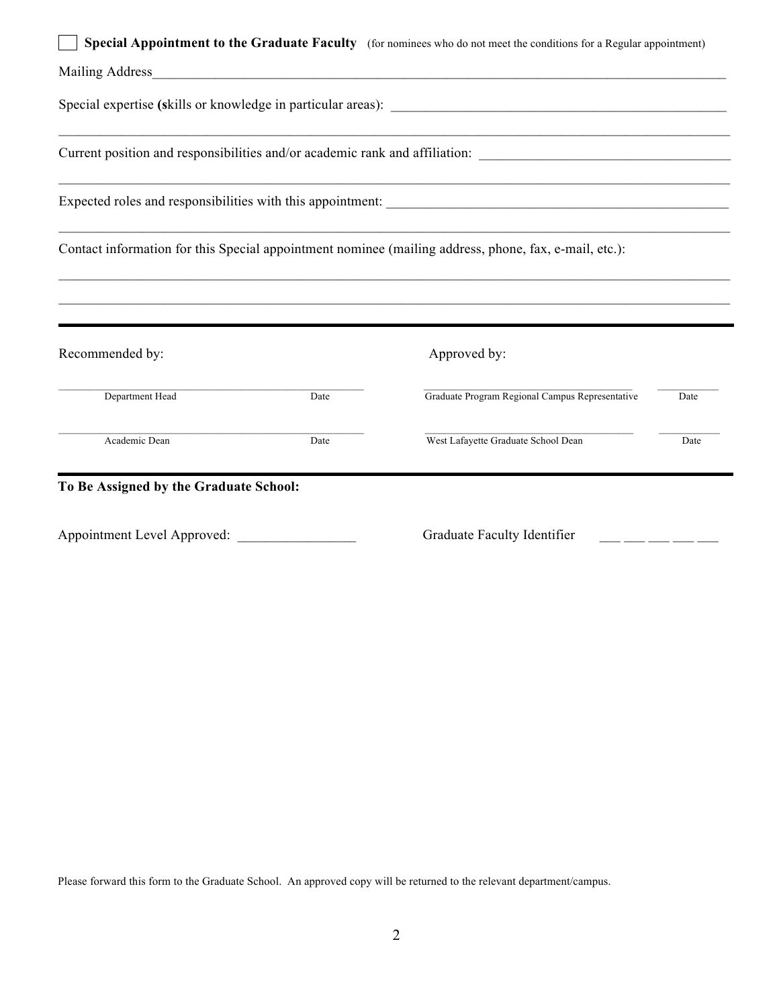|                                        |      | Special Appointment to the Graduate Faculty (for nominees who do not meet the conditions for a Regular appointment) |      |
|----------------------------------------|------|---------------------------------------------------------------------------------------------------------------------|------|
|                                        |      |                                                                                                                     |      |
|                                        |      |                                                                                                                     |      |
|                                        |      |                                                                                                                     |      |
|                                        |      |                                                                                                                     |      |
|                                        |      | Contact information for this Special appointment nominee (mailing address, phone, fax, e-mail, etc.):               |      |
|                                        |      |                                                                                                                     |      |
| Recommended by:                        |      | Approved by:                                                                                                        |      |
| Department Head                        | Date | Graduate Program Regional Campus Representative                                                                     | Date |
| Academic Dean                          | Date | West Lafayette Graduate School Dean                                                                                 | Date |
| To Be Assigned by the Graduate School: |      |                                                                                                                     |      |
| Appointment Level Approved:            |      | Graduate Faculty Identifier                                                                                         |      |

Please forward this form to the Graduate School. An approved copy will be returned to the relevant department/campus.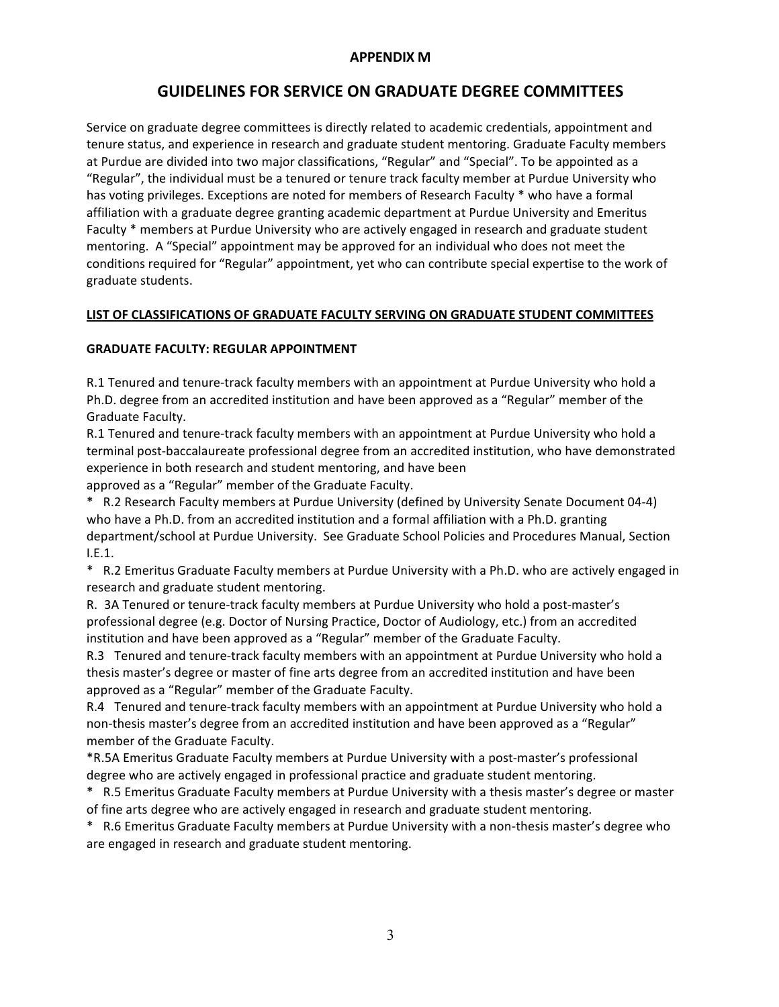## **APPENDIX M**

# **GUIDELINES FOR SERVICE ON GRADUATE DEGREE COMMITTEES**

Service on graduate degree committees is directly related to academic credentials, appointment and tenure status, and experience in research and graduate student mentoring. Graduate Faculty members at Purdue are divided into two major classifications, "Regular" and "Special". To be appointed as a "Regular", the individual must be a tenured or tenure track faculty member at Purdue University who has voting privileges. Exceptions are noted for members of Research Faculty \* who have a formal affiliation with a graduate degree granting academic department at Purdue University and Emeritus Faculty \* members at Purdue University who are actively engaged in research and graduate student mentoring. A "Special" appointment may be approved for an individual who does not meet the conditions required for "Regular" appointment, yet who can contribute special expertise to the work of graduate students.

### **LIST OF CLASSIFICATIONS OF GRADUATE FACULTY SERVING ON GRADUATE STUDENT COMMITTEES**

#### **GRADUATE FACULTY: REGULAR APPOINTMENT**

R.1 Tenured and tenure-track faculty members with an appointment at Purdue University who hold a Ph.D. degree from an accredited institution and have been approved as a "Regular" member of the Graduate Faculty.

R.1 Tenured and tenure-track faculty members with an appointment at Purdue University who hold a terminal post-baccalaureate professional degree from an accredited institution, who have demonstrated experience in both research and student mentoring, and have been

approved as a "Regular" member of the Graduate Faculty.

\* R.2 Research Faculty members at Purdue University (defined by University Senate Document 04-4) who have a Ph.D. from an accredited institution and a formal affiliation with a Ph.D. granting department/school at Purdue University. See Graduate School Policies and Procedures Manual, Section I.E.1.

\* R.2 Emeritus Graduate Faculty members at Purdue University with a Ph.D. who are actively engaged in research and graduate student mentoring.

R. 3A Tenured or tenure-track faculty members at Purdue University who hold a post-master's professional degree (e.g. Doctor of Nursing Practice, Doctor of Audiology, etc.) from an accredited institution and have been approved as a "Regular" member of the Graduate Faculty.

R.3 Tenured and tenure-track faculty members with an appointment at Purdue University who hold a thesis master's degree or master of fine arts degree from an accredited institution and have been approved as a "Regular" member of the Graduate Faculty.

R.4 Tenured and tenure-track faculty members with an appointment at Purdue University who hold a non-thesis master's degree from an accredited institution and have been approved as a "Regular" member of the Graduate Faculty.

\*R.5A Emeritus Graduate Faculty members at Purdue University with a post-master's professional degree who are actively engaged in professional practice and graduate student mentoring.

\* R.5 Emeritus Graduate Faculty members at Purdue University with a thesis master's degree or master of fine arts degree who are actively engaged in research and graduate student mentoring.

\* R.6 Emeritus Graduate Faculty members at Purdue University with a non-thesis master's degree who are engaged in research and graduate student mentoring.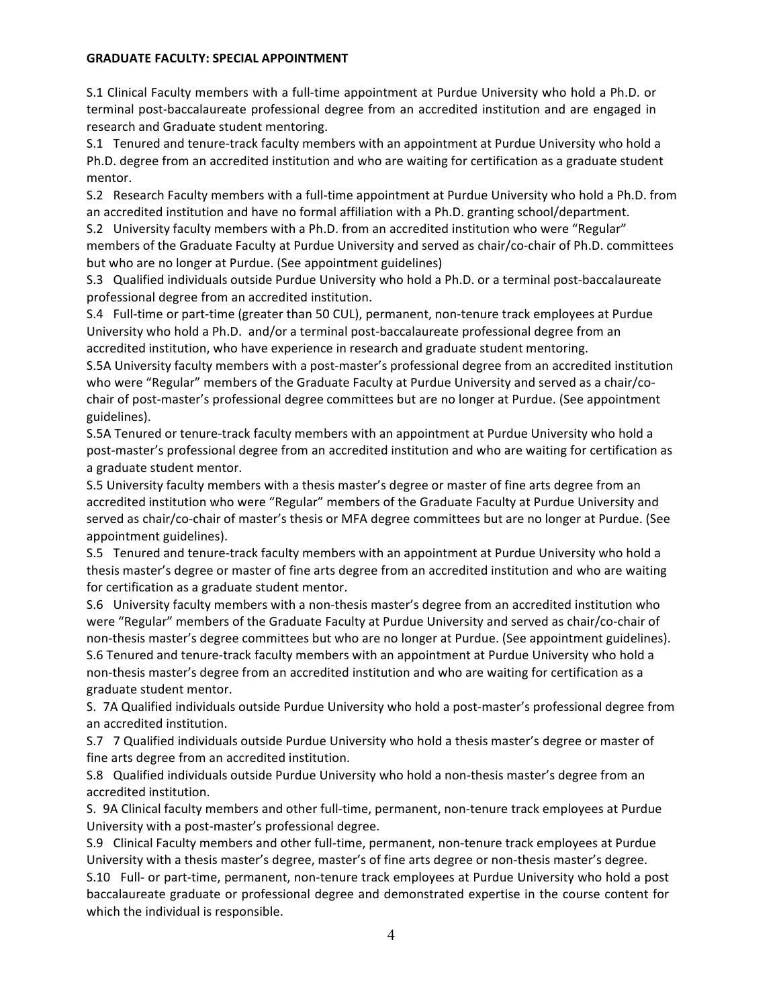#### **GRADUATE FACULTY: SPECIAL APPOINTMENT**

S.1 Clinical Faculty members with a full-time appointment at Purdue University who hold a Ph.D. or terminal post-baccalaureate professional degree from an accredited institution and are engaged in research and Graduate student mentoring.

S.1 Tenured and tenure-track faculty members with an appointment at Purdue University who hold a Ph.D. degree from an accredited institution and who are waiting for certification as a graduate student mentor.

S.2 Research Faculty members with a full-time appointment at Purdue University who hold a Ph.D. from an accredited institution and have no formal affiliation with a Ph.D. granting school/department.

S.2 University faculty members with a Ph.D. from an accredited institution who were "Regular" members of the Graduate Faculty at Purdue University and served as chair/co-chair of Ph.D. committees but who are no longer at Purdue. (See appointment guidelines)

S.3 Qualified individuals outside Purdue University who hold a Ph.D. or a terminal post-baccalaureate professional degree from an accredited institution.

S.4 Full-time or part-time (greater than 50 CUL), permanent, non-tenure track employees at Purdue University who hold a Ph.D. and/or a terminal post-baccalaureate professional degree from an accredited institution, who have experience in research and graduate student mentoring.

S.5A University faculty members with a post-master's professional degree from an accredited institution who were "Regular" members of the Graduate Faculty at Purdue University and served as a chair/cochair of post-master's professional degree committees but are no longer at Purdue. (See appointment guidelines).

S.5A Tenured or tenure-track faculty members with an appointment at Purdue University who hold a post-master's professional degree from an accredited institution and who are waiting for certification as a graduate student mentor.

S.5 University faculty members with a thesis master's degree or master of fine arts degree from an accredited institution who were "Regular" members of the Graduate Faculty at Purdue University and served as chair/co-chair of master's thesis or MFA degree committees but are no longer at Purdue. (See appointment guidelines).

S.5 Tenured and tenure-track faculty members with an appointment at Purdue University who hold a thesis master's degree or master of fine arts degree from an accredited institution and who are waiting for certification as a graduate student mentor.

S.6 University faculty members with a non-thesis master's degree from an accredited institution who were "Regular" members of the Graduate Faculty at Purdue University and served as chair/co-chair of non-thesis master's degree committees but who are no longer at Purdue. (See appointment guidelines). S.6 Tenured and tenure-track faculty members with an appointment at Purdue University who hold a non-thesis master's degree from an accredited institution and who are waiting for certification as a graduate student mentor.

S. 7A Qualified individuals outside Purdue University who hold a post-master's professional degree from an accredited institution.

S.7 7 Qualified individuals outside Purdue University who hold a thesis master's degree or master of fine arts degree from an accredited institution.

S.8 Qualified individuals outside Purdue University who hold a non-thesis master's degree from an accredited institution.

S. 9A Clinical faculty members and other full-time, permanent, non-tenure track employees at Purdue University with a post-master's professional degree.

S.9 Clinical Faculty members and other full-time, permanent, non-tenure track employees at Purdue University with a thesis master's degree, master's of fine arts degree or non-thesis master's degree. S.10 Full- or part-time, permanent, non-tenure track employees at Purdue University who hold a post baccalaureate graduate or professional degree and demonstrated expertise in the course content for which the individual is responsible.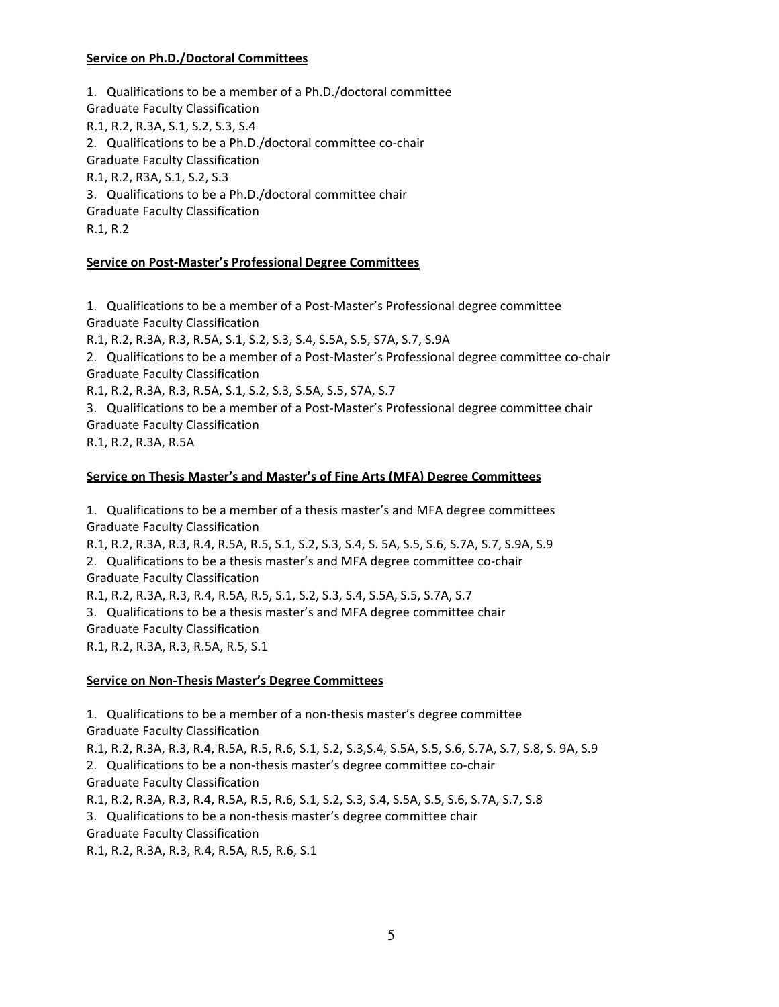### **Service on Ph.D./Doctoral Committees**

1. Qualifications to be a member of a Ph.D./doctoral committee Graduate Faculty Classification R.1, R.2, R.3A, S.1, S.2, S.3, S.4 2. Qualifications to be a Ph.D./doctoral committee co-chair Graduate Faculty Classification R.1, R.2, R3A, S.1, S.2, S.3 3. Qualifications to be a Ph.D./doctoral committee chair Graduate Faculty Classification R.1, R.2

### **Service on Post-Master's Professional Degree Committees**

1. Qualifications to be a member of a Post-Master's Professional degree committee Graduate Faculty Classification

R.1, R.2, R.3A, R.3, R.5A, S.1, S.2, S.3, S.4, S.5A, S.5, S7A, S.7, S.9A

2. Qualifications to be a member of a Post-Master's Professional degree committee co-chair Graduate Faculty Classification

R.1, R.2, R.3A, R.3, R.5A, S.1, S.2, S.3, S.5A, S.5, S7A, S.7

3. Qualifications to be a member of a Post-Master's Professional degree committee chair Graduate Faculty Classification

R.1, R.2, R.3A, R.5A

### **Service on Thesis Master's and Master's of Fine Arts (MFA) Degree Committees**

1. Qualifications to be a member of a thesis master's and MFA degree committees Graduate Faculty Classification R.1, R.2, R.3A, R.3, R.4, R.5A, R.5, S.1, S.2, S.3, S.4, S. 5A, S.5, S.6, S.7A, S.7, S.9A, S.9 2. Qualifications to be a thesis master's and MFA degree committee co-chair Graduate Faculty Classification R.1, R.2, R.3A, R.3, R.4, R.5A, R.5, S.1, S.2, S.3, S.4, S.5A, S.5, S.7A, S.7 3. Qualifications to be a thesis master's and MFA degree committee chair Graduate Faculty Classification R.1, R.2, R.3A, R.3, R.5A, R.5, S.1

### **Service on Non-Thesis Master's Degree Committees**

1. Qualifications to be a member of a non-thesis master's degree committee Graduate Faculty Classification R.1, R.2, R.3A, R.3, R.4, R.5A, R.5, R.6, S.1, S.2, S.3, S.4, S.5A, S.5, S.6, S.7A, S.7, S.8, S. 9A, S.9 2. Qualifications to be a non-thesis master's degree committee co-chair Graduate Faculty Classification R.1, R.2, R.3A, R.3, R.4, R.5A, R.5, R.6, S.1, S.2, S.3, S.4, S.5A, S.5, S.6, S.7A, S.7, S.8 3. Qualifications to be a non-thesis master's degree committee chair Graduate Faculty Classification R.1, R.2, R.3A, R.3, R.4, R.5A, R.5, R.6, S.1